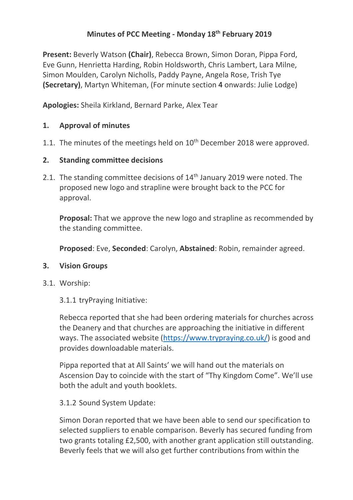# **Minutes of PCC Meeting - Monday 18th February 2019**

**Present:** Beverly Watson **(Chair)**, Rebecca Brown, Simon Doran, Pippa Ford, Eve Gunn, Henrietta Harding, Robin Holdsworth, Chris Lambert, Lara Milne, Simon Moulden, Carolyn Nicholls, Paddy Payne, Angela Rose, Trish Tye **(Secretary)**, Martyn Whiteman, (For minute section 4 onwards: Julie Lodge)

**Apologies:** Sheila Kirkland, Bernard Parke, Alex Tear

### **1. Approval of minutes**

1.1. The minutes of the meetings held on  $10<sup>th</sup>$  December 2018 were approved.

### **2. Standing committee decisions**

2.1. The standing committee decisions of 14<sup>th</sup> January 2019 were noted. The proposed new logo and strapline were brought back to the PCC for approval.

**Proposal:** That we approve the new logo and strapline as recommended by the standing committee.

**Proposed**: Eve, **Seconded**: Carolyn, **Abstained**: Robin, remainder agreed.

#### **3. Vision Groups**

3.1. Worship:

3.1.1 tryPraying Initiative:

Rebecca reported that she had been ordering materials for churches across the Deanery and that churches are approaching the initiative in different ways. The associated website [\(https://www.trypraying.co.uk/\)](https://www.trypraying.co.uk/) is good and provides downloadable materials.

Pippa reported that at All Saints' we will hand out the materials on Ascension Day to coincide with the start of "Thy Kingdom Come". We'll use both the adult and youth booklets.

#### 3.1.2 Sound System Update:

Simon Doran reported that we have been able to send our specification to selected suppliers to enable comparison. Beverly has secured funding from two grants totaling £2,500, with another grant application still outstanding. Beverly feels that we will also get further contributions from within the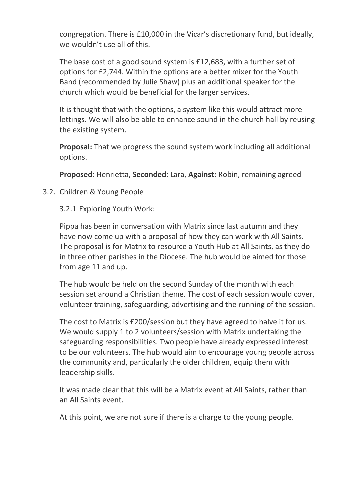congregation. There is £10,000 in the Vicar's discretionary fund, but ideally, we wouldn't use all of this.

The base cost of a good sound system is £12,683, with a further set of options for £2,744. Within the options are a better mixer for the Youth Band (recommended by Julie Shaw) plus an additional speaker for the church which would be beneficial for the larger services.

It is thought that with the options, a system like this would attract more lettings. We will also be able to enhance sound in the church hall by reusing the existing system.

**Proposal:** That we progress the sound system work including all additional options.

**Proposed**: Henrietta, **Seconded**: Lara, **Against:** Robin, remaining agreed

3.2. Children & Young People

3.2.1 Exploring Youth Work:

Pippa has been in conversation with Matrix since last autumn and they have now come up with a proposal of how they can work with All Saints. The proposal is for Matrix to resource a Youth Hub at All Saints, as they do in three other parishes in the Diocese. The hub would be aimed for those from age 11 and up.

The hub would be held on the second Sunday of the month with each session set around a Christian theme. The cost of each session would cover, volunteer training, safeguarding, advertising and the running of the session.

The cost to Matrix is £200/session but they have agreed to halve it for us. We would supply 1 to 2 volunteers/session with Matrix undertaking the safeguarding responsibilities. Two people have already expressed interest to be our volunteers. The hub would aim to encourage young people across the community and, particularly the older children, equip them with leadership skills.

It was made clear that this will be a Matrix event at All Saints, rather than an All Saints event.

At this point, we are not sure if there is a charge to the young people.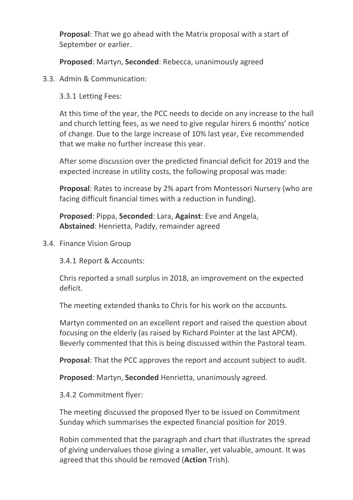**Proposal**: That we go ahead with the Matrix proposal with a start of September or earlier.

**Proposed**: Martyn, **Seconded**: Rebecca, unanimously agreed

3.3. Admin & Communication:

3.3.1 Letting Fees:

At this time of the year, the PCC needs to decide on any increase to the hall and church letting fees, as we need to give regular hirers 6 months' notice of change. Due to the large increase of 10% last year, Eve recommended that we make no further increase this year.

After some discussion over the predicted financial deficit for 2019 and the expected increase in utility costs, the following proposal was made:

**Proposal**: Rates to increase by 2% apart from Montessori Nursery (who are facing difficult financial times with a reduction in funding).

**Proposed**: Pippa, **Seconded**: Lara, **Against**: Eve and Angela, **Abstained**: Henrietta, Paddy, remainder agreed

3.4. Finance Vision Group

3.4.1 Report & Accounts:

Chris reported a small surplus in 2018, an improvement on the expected deficit.

The meeting extended thanks to Chris for his work on the accounts.

Martyn commented on an excellent report and raised the question about focusing on the elderly (as raised by Richard Pointer at the last APCM). Beverly commented that this is being discussed within the Pastoral team.

**Proposal**: That the PCC approves the report and account subject to audit.

**Proposed**: Martyn, **Seconded** Henrietta, unanimously agreed.

3.4.2 Commitment flyer:

The meeting discussed the proposed flyer to be issued on Commitment Sunday which summarises the expected financial position for 2019.

Robin commented that the paragraph and chart that illustrates the spread of giving undervalues those giving a smaller, yet valuable, amount. It was agreed that this should be removed (**Action** Trish).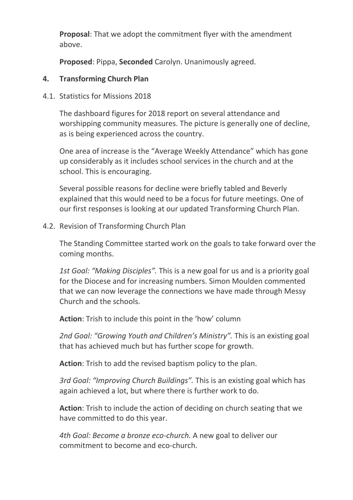**Proposal**: That we adopt the commitment flyer with the amendment above.

**Proposed**: Pippa, **Seconded** Carolyn. Unanimously agreed.

#### **4. Transforming Church Plan**

4.1. Statistics for Missions 2018

The dashboard figures for 2018 report on several attendance and worshipping community measures. The picture is generally one of decline, as is being experienced across the country.

One area of increase is the "Average Weekly Attendance" which has gone up considerably as it includes school services in the church and at the school. This is encouraging.

Several possible reasons for decline were briefly tabled and Beverly explained that this would need to be a focus for future meetings. One of our first responses is looking at our updated Transforming Church Plan.

4.2. Revision of Transforming Church Plan

The Standing Committee started work on the goals to take forward over the coming months.

*1st Goal: "Making Disciples".* This is a new goal for us and is a priority goal for the Diocese and for increasing numbers. Simon Moulden commented that we can now leverage the connections we have made through Messy Church and the schools.

**Action**: Trish to include this point in the 'how' column

*2nd Goal: "Growing Youth and Children's Ministry".* This is an existing goal that has achieved much but has further scope for growth.

**Action**: Trish to add the revised baptism policy to the plan.

*3rd Goal: "Improving Church Buildings".* This is an existing goal which has again achieved a lot, but where there is further work to do.

**Action**: Trish to include the action of deciding on church seating that we have committed to do this year.

*4th Goal: Become a bronze eco-church.* A new goal to deliver our commitment to become and eco-church.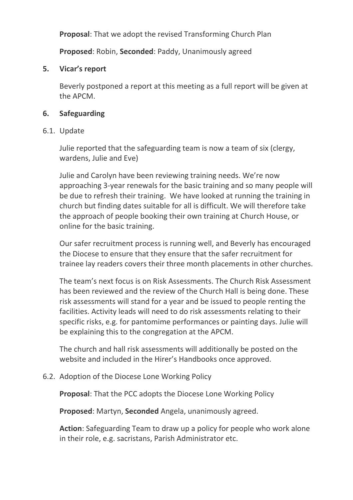**Proposal**: That we adopt the revised Transforming Church Plan

**Proposed**: Robin, **Seconded**: Paddy, Unanimously agreed

### **5. Vicar's report**

Beverly postponed a report at this meeting as a full report will be given at the APCM.

### **6. Safeguarding**

#### 6.1. Update

Julie reported that the safeguarding team is now a team of six (clergy, wardens, Julie and Eve)

Julie and Carolyn have been reviewing training needs. We're now approaching 3-year renewals for the basic training and so many people will be due to refresh their training. We have looked at running the training in church but finding dates suitable for all is difficult. We will therefore take the approach of people booking their own training at Church House, or online for the basic training.

Our safer recruitment process is running well, and Beverly has encouraged the Diocese to ensure that they ensure that the safer recruitment for trainee lay readers covers their three month placements in other churches.

The team's next focus is on Risk Assessments. The Church Risk Assessment has been reviewed and the review of the Church Hall is being done. These risk assessments will stand for a year and be issued to people renting the facilities. Activity leads will need to do risk assessments relating to their specific risks, e.g. for pantomime performances or painting days. Julie will be explaining this to the congregation at the APCM.

The church and hall risk assessments will additionally be posted on the website and included in the Hirer's Handbooks once approved.

#### 6.2. Adoption of the Diocese Lone Working Policy

**Proposal**: That the PCC adopts the Diocese Lone Working Policy

**Proposed**: Martyn, **Seconded** Angela, unanimously agreed.

**Action**: Safeguarding Team to draw up a policy for people who work alone in their role, e.g. sacristans, Parish Administrator etc.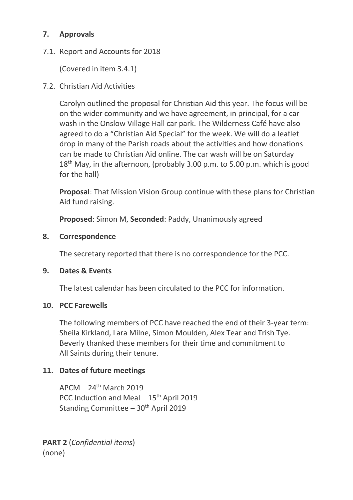# **7. Approvals**

## 7.1. Report and Accounts for 2018

(Covered in item 3.4.1)

# 7.2. Christian Aid Activities

Carolyn outlined the proposal for Christian Aid this year. The focus will be on the wider community and we have agreement, in principal, for a car wash in the Onslow Village Hall car park. The Wilderness Café have also agreed to do a "Christian Aid Special" for the week. We will do a leaflet drop in many of the Parish roads about the activities and how donations can be made to Christian Aid online. The car wash will be on Saturday  $18<sup>th</sup>$  May, in the afternoon, (probably 3.00 p.m. to 5.00 p.m. which is good for the hall)

**Proposal**: That Mission Vision Group continue with these plans for Christian Aid fund raising.

**Proposed**: Simon M, **Seconded**: Paddy, Unanimously agreed

### **8. Correspondence**

The secretary reported that there is no correspondence for the PCC.

## **9. Dates & Events**

The latest calendar has been circulated to the PCC for information.

#### **10. PCC Farewells**

The following members of PCC have reached the end of their 3-year term: Sheila Kirkland, Lara Milne, Simon Moulden, Alex Tear and Trish Tye. Beverly thanked these members for their time and commitment to All Saints during their tenure.

## **11. Dates of future meetings**

 $APCM - 24<sup>th</sup> March 2019$ PCC Induction and Meal - 15<sup>th</sup> April 2019 Standing Committee  $-30<sup>th</sup>$  April 2019

**PART 2** (*Confidential items*) (none)